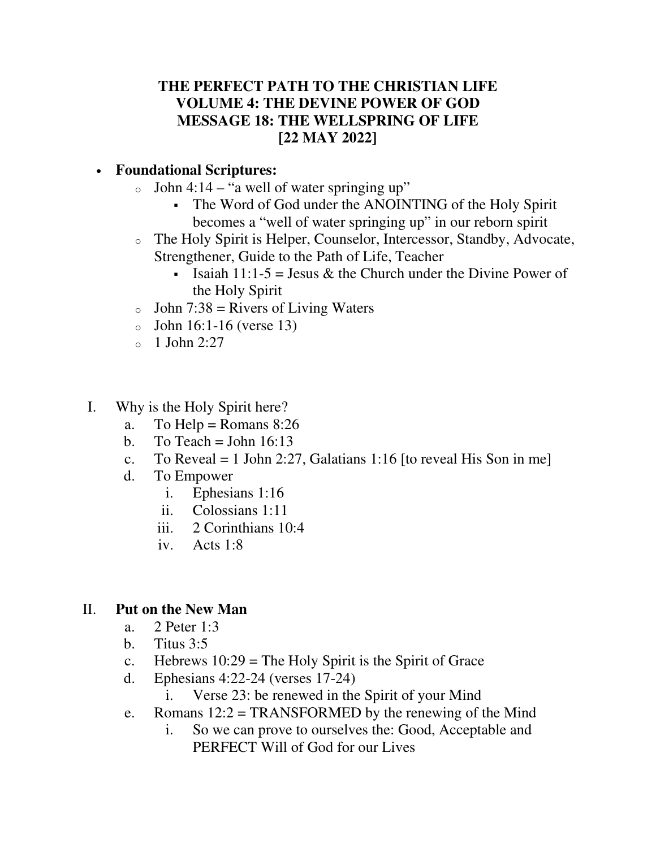## **THE PERFECT PATH TO THE CHRISTIAN LIFE VOLUME 4: THE DEVINE POWER OF GOD MESSAGE 18: THE WELLSPRING OF LIFE [22 MAY 2022]**

## • **Foundational Scriptures:**

- $\circ$  John 4:14 "a well of water springing up"
	- The Word of God under the ANOINTING of the Holy Spirit becomes a "well of water springing up" in our reborn spirit
- o The Holy Spirit is Helper, Counselor, Intercessor, Standby, Advocate, Strengthener, Guide to the Path of Life, Teacher
	- Isaiah 11:1-5 = Jesus & the Church under the Divine Power of the Holy Spirit
- $\circ$  John 7:38 = Rivers of Living Waters
- $\circ$  John 16:1-16 (verse 13)
- $\circ$  1 John 2:27
- I. Why is the Holy Spirit here?
	- a. To Help = Romans  $8:26$
	- b. To Teach = John  $16:13$
	- c. To Reveal = 1 John 2:27, Galatians 1:16 [to reveal His Son in me]
	- d. To Empower
		- i. Ephesians 1:16
		- ii. Colossians 1:11
		- iii. 2 Corinthians 10:4
		- iv. Acts 1:8

## II. **Put on the New Man**

- a. 2 Peter 1:3
- b. Titus 3:5
- c. Hebrews  $10:29$  = The Holy Spirit is the Spirit of Grace
- d. Ephesians 4:22-24 (verses 17-24)
	- i. Verse 23: be renewed in the Spirit of your Mind
- e. Romans  $12:2 = TRANSFORMED$  by the renewing of the Mind
	- i. So we can prove to ourselves the: Good, Acceptable and PERFECT Will of God for our Lives